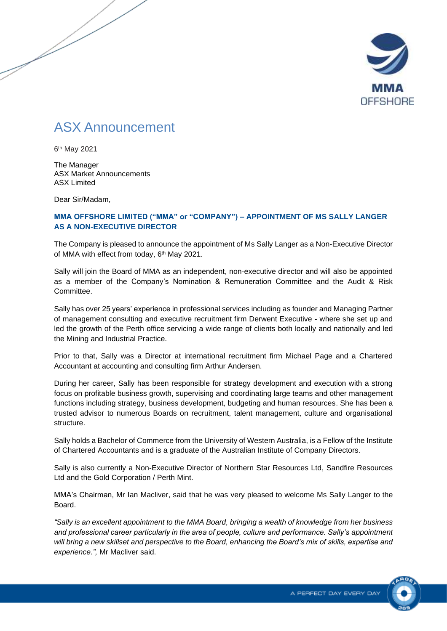

## ASX Announcement

6 th May 2021

The Manager ASX Market Announcements ASX Limited

Dear Sir/Madam,

## **MMA OFFSHORE LIMITED ("MMA" or "COMPANY") – APPOINTMENT OF MS SALLY LANGER AS A NON-EXECUTIVE DIRECTOR**

The Company is pleased to announce the appointment of Ms Sally Langer as a Non-Executive Director of MMA with effect from today, 6<sup>th</sup> May 2021.

Sally will join the Board of MMA as an independent, non-executive director and will also be appointed as a member of the Company's Nomination & Remuneration Committee and the Audit & Risk Committee.

Sally has over 25 years' experience in professional services including as founder and Managing Partner of management consulting and executive recruitment firm Derwent Executive - where she set up and led the growth of the Perth office servicing a wide range of clients both locally and nationally and led the Mining and Industrial Practice.

Prior to that, Sally was a Director at international recruitment firm Michael Page and a Chartered Accountant at accounting and consulting firm Arthur Andersen.

During her career, Sally has been responsible for strategy development and execution with a strong focus on profitable business growth, supervising and coordinating large teams and other management functions including strategy, business development, budgeting and human resources. She has been a trusted advisor to numerous Boards on recruitment, talent management, culture and organisational structure.

Sally holds a Bachelor of Commerce from the University of Western Australia, is a Fellow of the Institute of Chartered Accountants and is a graduate of the Australian Institute of Company Directors.

Sally is also currently a Non-Executive Director of Northern Star Resources Ltd, Sandfire Resources Ltd and the Gold Corporation / Perth Mint.

MMA's Chairman, Mr Ian Macliver, said that he was very pleased to welcome Ms Sally Langer to the Board.

*"Sally is an excellent appointment to the MMA Board, bringing a wealth of knowledge from her business and professional career particularly in the area of people, culture and performance. Sally's appointment will bring a new skillset and perspective to the Board, enhancing the Board's mix of skills, expertise and experience.",* Mr Macliver said.